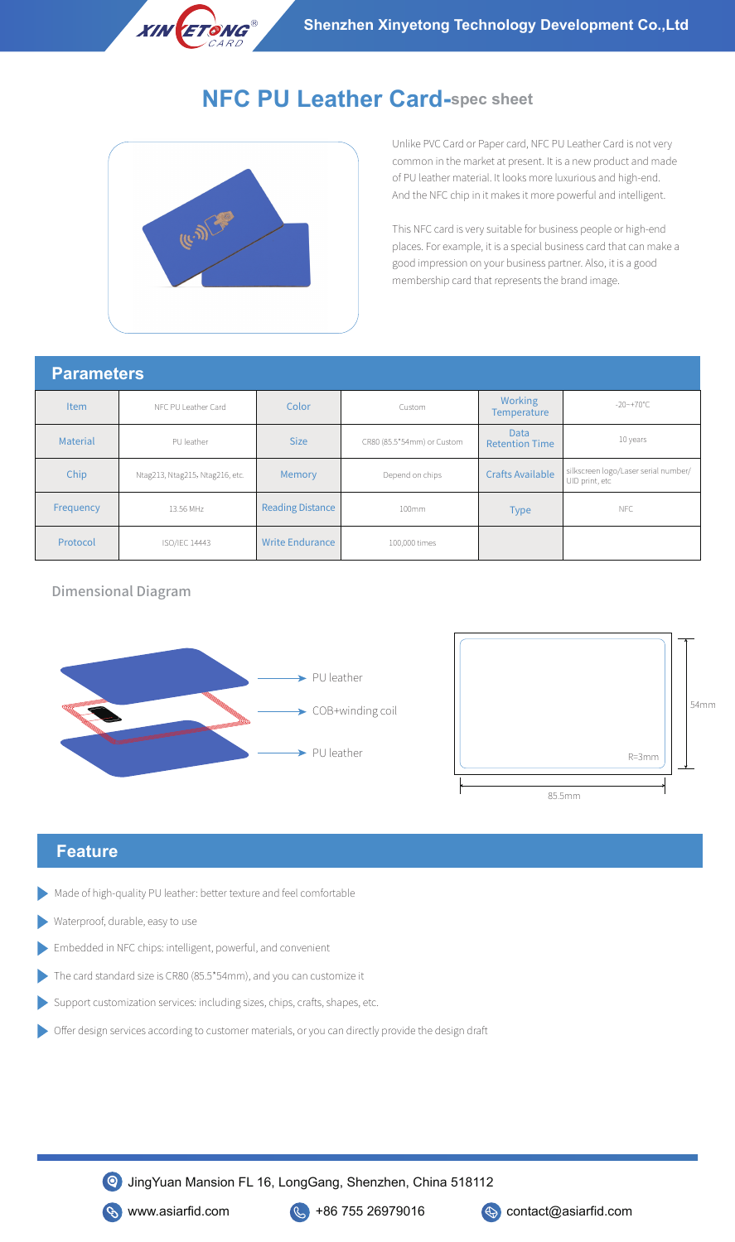

# **NFC PU Leather Card-spec sheet**



Unlike PVC Card or Paper card, NFC PU Leather Card is not very common in the market at present. It is a new product and made of PU leather material. It looks more luxurious and high-end. And the NFC chip in it makes it more powerful and intelligent.

This NFC card is very suitable for business people or high-end places. For example, it is a special business card that can make a good impression on your business partner. Also, it is a good membership card that represents the brand image.

#### **Parameters**

| <u>i Minivuud</u> |                                 |                         |                            |                                      |                                                        |  |  |
|-------------------|---------------------------------|-------------------------|----------------------------|--------------------------------------|--------------------------------------------------------|--|--|
| <b>Item</b>       | NFC PU Leather Card             | Color                   | Custom                     | <b>Working</b><br><b>Temperature</b> | $-20$ ~+70°C                                           |  |  |
| <b>Material</b>   | PU leather                      | <b>Size</b>             | CR80 (85.5*54mm) or Custom | <b>Data</b><br><b>Retention Time</b> | 10 years                                               |  |  |
| Chip              | Ntag213, Ntag215, Ntag216, etc. | Memory                  | Depend on chips            | <b>Crafts Available</b>              | silkscreen logo/Laser serial number/<br>UID print, etc |  |  |
| Frequency         | 13.56 MHz                       | <b>Reading Distance</b> | 100mm                      | <b>Type</b>                          | NFC                                                    |  |  |
| Protocol          | ISO/IEC 14443                   | <b>Write Endurance</b>  | 100,000 times              |                                      |                                                        |  |  |

### Dimensional Diagram





## **Feature**

- Made of high-quality PU leather: better texture and feel comfortable
- Waterproof, durable, easy to use
- Embedded in NFC chips: intelligent, powerful, and convenient
- The card standard size is CR80 (85.5\*54mm), and you can customize it
- Support customization services: including sizes, chips, crafts, shapes, etc.
- Offer design services according to customer materials, or you can directly provide the design draft

JingYuan Mansion FL 16, LongGang, Shenzhen, China 518112



**S** www.asiarfid.com **C** +86 755 26979016 **C** contact@asiarfid.com